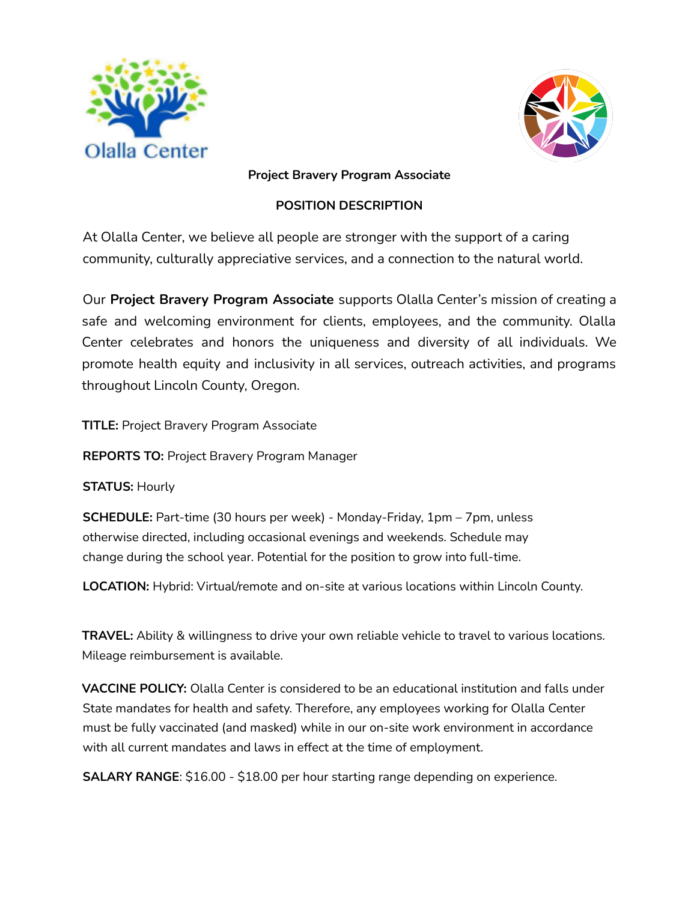



### **Project Bravery Program Associate**

# **POSITION DESCRIPTION**

At Olalla Center, we believe all people are stronger with the support of a caring community, culturally appreciative services, and a connection to the natural world.

Our **Project Bravery Program Associate** supports Olalla Center's mission of creating a safe and welcoming environment for clients, employees, and the community. Olalla Center celebrates and honors the uniqueness and diversity of all individuals. We promote health equity and inclusivity in all services, outreach activities, and programs throughout Lincoln County, Oregon.

**TITLE:** Project Bravery Program Associate

**REPORTS TO:** Project Bravery Program Manager

**STATUS:** Hourly

**SCHEDULE:** Part-time (30 hours per week) - Monday-Friday, 1pm – 7pm, unless otherwise directed, including occasional evenings and weekends. Schedule may change during the school year. Potential for the position to grow into full-time.

**LOCATION:** Hybrid: Virtual/remote and on-site at various locations within Lincoln County.

**TRAVEL:** Ability & willingness to drive your own reliable vehicle to travel to various locations. Mileage reimbursement is available.

**VACCINE POLICY:** Olalla Center is considered to be an educational institution and falls under State mandates for health and safety. Therefore, any employees working for Olalla Center must be fully vaccinated (and masked) while in our on-site work environment in accordance with all current mandates and laws in effect at the time of employment.

**SALARY RANGE**: \$16.00 - \$18.00 per hour starting range depending on experience.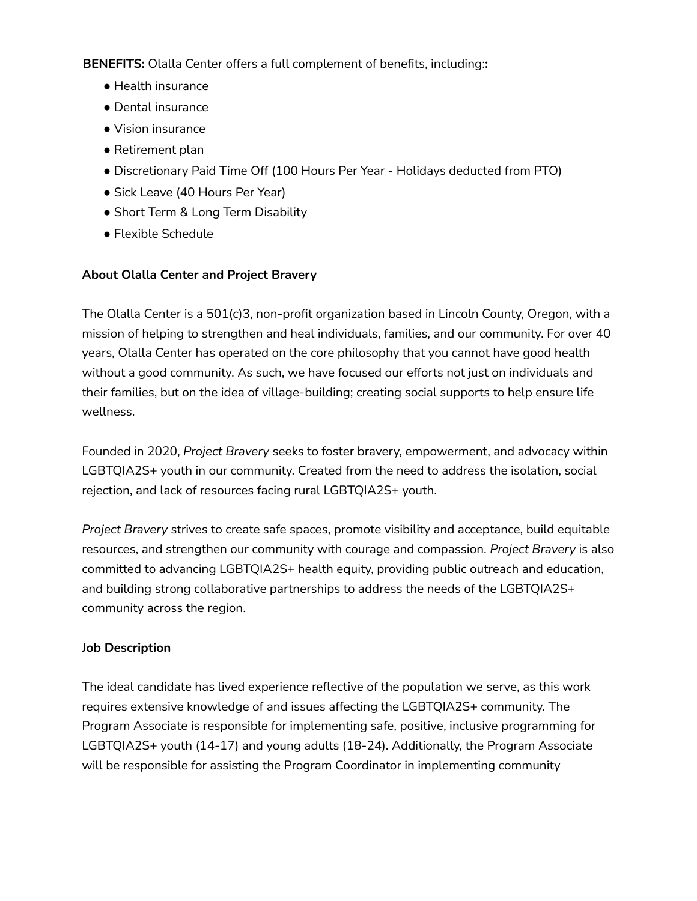**BENEFITS:** Olalla Center offers a full complement of benefits, including:**:**

- Health insurance
- Dental insurance
- Vision insurance
- Retirement plan
- Discretionary Paid Time Off (100 Hours Per Year Holidays deducted from PTO)
- Sick Leave (40 Hours Per Year)
- Short Term & Long Term Disability
- Flexible Schedule

# **About Olalla Center and Project Bravery**

The Olalla Center is a 501(c)3, non-profit organization based in Lincoln County, Oregon, with a mission of helping to strengthen and heal individuals, families, and our community. For over 40 years, Olalla Center has operated on the core philosophy that you cannot have good health without a good community. As such, we have focused our efforts not just on individuals and their families, but on the idea of village-building; creating social supports to help ensure life wellness.

Founded in 2020, *Project Bravery* seeks to foster bravery, empowerment, and advocacy within LGBTQIA2S+ youth in our community. Created from the need to address the isolation, social rejection, and lack of resources facing rural LGBTQIA2S+ youth.

*Project Bravery* strives to create safe spaces, promote visibility and acceptance, build equitable resources, and strengthen our community with courage and compassion. *Project Bravery* is also committed to advancing LGBTQIA2S+ health equity, providing public outreach and education, and building strong collaborative partnerships to address the needs of the LGBTQIA2S+ community across the region.

# **Job Description**

The ideal candidate has lived experience reflective of the population we serve, as this work requires extensive knowledge of and issues affecting the LGBTQIA2S+ community. The Program Associate is responsible for implementing safe, positive, inclusive programming for LGBTQIA2S+ youth (14-17) and young adults (18-24). Additionally, the Program Associate will be responsible for assisting the Program Coordinator in implementing community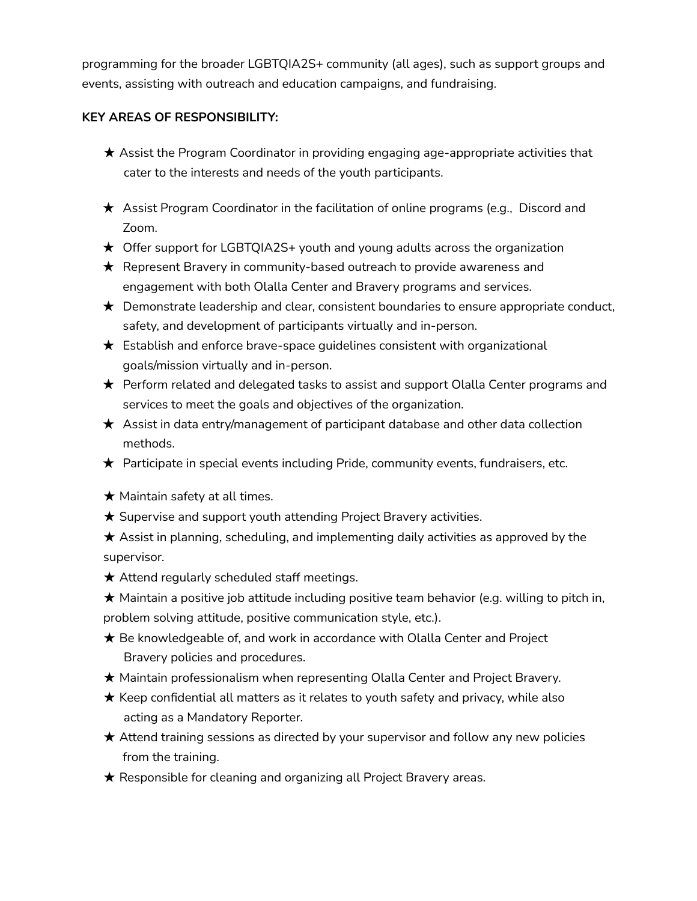programming for the broader LGBTQIA2S+ community (all ages), such as support groups and events, assisting with outreach and education campaigns, and fundraising.

### **KEY AREAS OF RESPONSIBILITY:**

- ★ Assist the Program Coordinator in providing engaging age-appropriate activities that cater to the interests and needs of the youth participants.
- ★ Assist Program Coordinator in the facilitation of online programs (e.g., Discord and Zoom.
- ★ Offer support for LGBTQIA2S+ youth and young adults across the organization
- ★ Represent Bravery in community-based outreach to provide awareness and engagement with both Olalla Center and Bravery programs and services.
- $\bigstar$  Demonstrate leadership and clear, consistent boundaries to ensure appropriate conduct, safety, and development of participants virtually and in-person.
- ★ Establish and enforce brave-space guidelines consistent with organizational goals/mission virtually and in-person.
- ★ Perform related and delegated tasks to assist and support Olalla Center programs and services to meet the goals and objectives of the organization.
- $\star$  Assist in data entry/management of participant database and other data collection methods.
- ★ Participate in special events including Pride, community events, fundraisers, etc.
- $\star$  Maintain safety at all times.
- **★ Supervise and support youth attending Project Bravery activities.**
- $\star$  Assist in planning, scheduling, and implementing daily activities as approved by the supervisor.
- **★ Attend regularly scheduled staff meetings.**
- $\bigstar$  Maintain a positive job attitude including positive team behavior (e.g. willing to pitch in, problem solving attitude, positive communication style, etc.).
- **★** Be knowledgeable of, and work in accordance with Olalla Center and Project Bravery policies and procedures.
- ★ Maintain professionalism when representing Olalla Center and Project Bravery.
- $\bigstar$  Keep confidential all matters as it relates to youth safety and privacy, while also acting as a Mandatory Reporter.
- ★ Attend training sessions as directed by your supervisor and follow any new policies from the training.
- **★ Responsible for cleaning and organizing all Project Bravery areas.**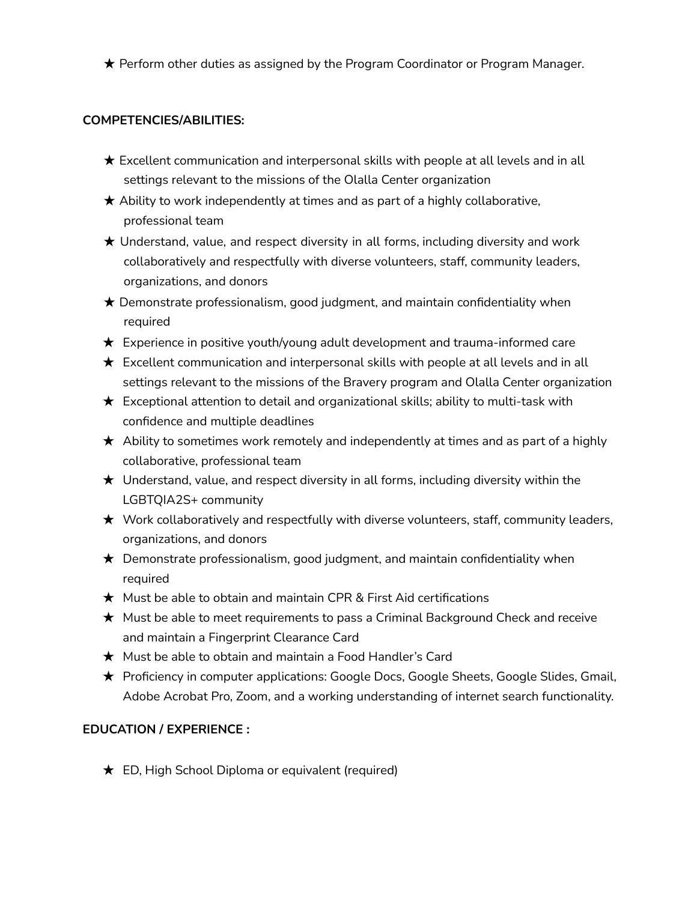★ Perform other duties as assigned by the Program Coordinator or Program Manager.

#### **COMPETENCIES/ABILITIES:**

- $\star$  Excellent communication and interpersonal skills with people at all levels and in all settings relevant to the missions of the Olalla Center organization
- $\star$  Ability to work independently at times and as part of a highly collaborative, professional team
- $\star$  Understand, value, and respect diversity in all forms, including diversity and work collaboratively and respectfully with diverse volunteers, staff, community leaders, organizations, and donors
- $\star$  Demonstrate professionalism, good judgment, and maintain confidentiality when required
- ★ Experience in positive youth/young adult development and trauma-informed care
- $\star$  Excellent communication and interpersonal skills with people at all levels and in all settings relevant to the missions of the Bravery program and Olalla Center organization
- $\star$  Exceptional attention to detail and organizational skills; ability to multi-task with confidence and multiple deadlines
- $\star$  Ability to sometimes work remotely and independently at times and as part of a highly collaborative, professional team
- $\star$  Understand, value, and respect diversity in all forms, including diversity within the LGBTQIA2S+ community
- ★ Work collaboratively and respectfully with diverse volunteers, staff, community leaders, organizations, and donors
- ★ Demonstrate professionalism, good judgment, and maintain confidentiality when required
- $\star$  Must be able to obtain and maintain CPR & First Aid certifications
- ★ Must be able to meet requirements to pass a Criminal Background Check and receive and maintain a Fingerprint Clearance Card
- ★ Must be able to obtain and maintain a Food Handler's Card
- ★ Proficiency in computer applications: Google Docs, Google Sheets, Google Slides, Gmail, Adobe Acrobat Pro, Zoom, and a working understanding of internet search functionality.

#### **EDUCATION / EXPERIENCE :**

 $\bigstar$  ED, High School Diploma or equivalent (required)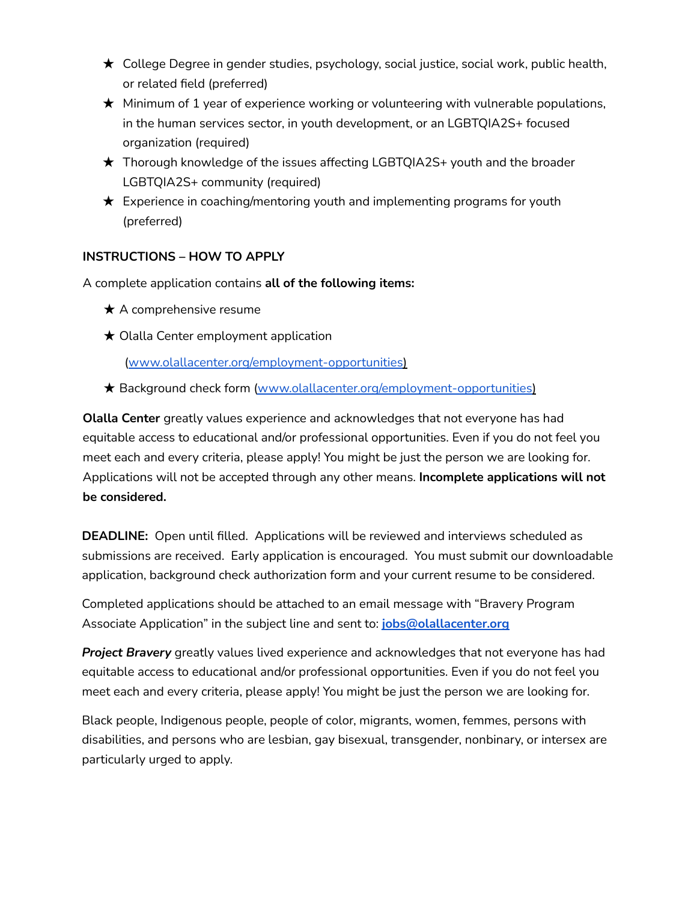- ★ College Degree in gender studies, psychology, social justice, social work, public health, or related field (preferred)
- $\star$  Minimum of 1 year of experience working or volunteering with vulnerable populations, in the human services sector, in youth development, or an LGBTQIA2S+ focused organization (required)
- ★ Thorough knowledge of the issues affecting LGBTQIA2S+ youth and the broader LGBTQIA2S+ community (required)
- $\star$  Experience in coaching/mentoring youth and implementing programs for youth (preferred)

# **INSTRUCTIONS – HOW TO APPLY**

A complete application contains **all of the following items:**

- $\star$  A comprehensive resume
- $\star$  Olalla Center employment application

(www.olallacenter.org/employment-opportunities)

**★ Background check form (www.olallacenter.org/employment-opportunities)** 

**Olalla Center** greatly values experience and acknowledges that not everyone has had equitable access to educational and/or professional opportunities. Even if you do not feel you meet each and every criteria, please apply! You might be just the person we are looking for. Applications will not be accepted through any other means. **Incomplete applications will not be considered.**

**DEADLINE:** Open until filled. Applications will be reviewed and interviews scheduled as submissions are received. Early application is encouraged. You must submit our downloadable application, background check authorization form and your current resume to be considered.

Completed applications should be attached to an email message with "Bravery Program Associate Application" in the subject line and sent to: **[jobs@olallacenter.org](mailto:jobs@olallacenter.org)**

*Project Bravery* greatly values lived experience and acknowledges that not everyone has had equitable access to educational and/or professional opportunities. Even if you do not feel you meet each and every criteria, please apply! You might be just the person we are looking for.

Black people, Indigenous people, people of color, migrants, women, femmes, persons with disabilities, and persons who are lesbian, gay bisexual, transgender, nonbinary, or intersex are particularly urged to apply.